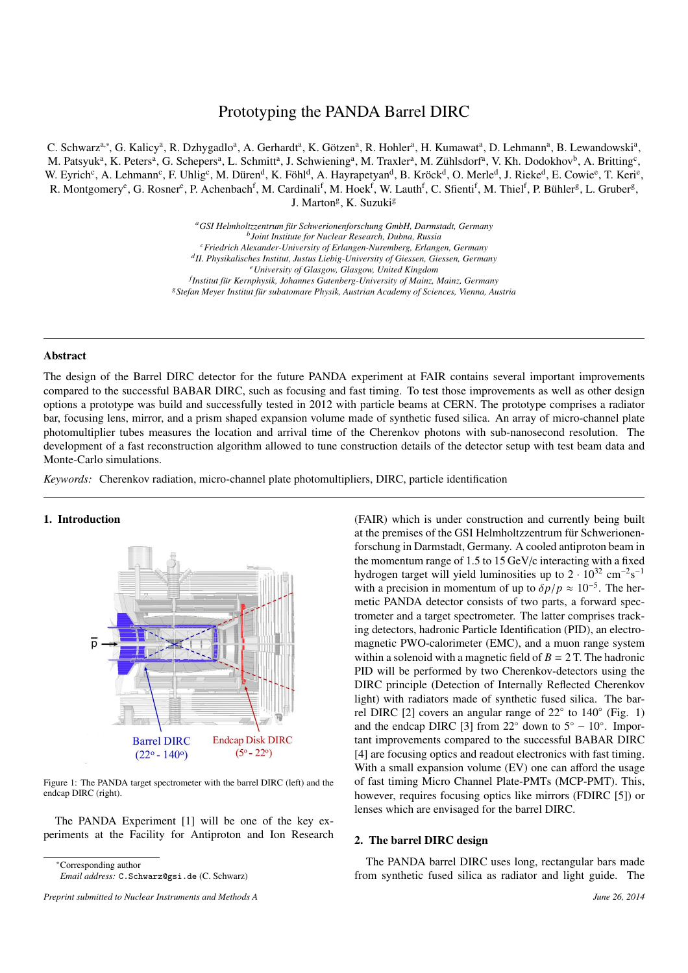# Prototyping the PANDA Barrel DIRC

C. Schwarz<sup>a,∗</sup>, G. Kalicy<sup>a</sup>, R. Dzhygadlo<sup>a</sup>, A. Gerhardt<sup>a</sup>, K. Götzen<sup>a</sup>, R. Hohler<sup>a</sup>, H. Kumawat<sup>a</sup>, D. Lehmann<sup>a</sup>, B. Lewandowski<sup>a</sup>, M. Patsyuk<sup>a</sup>, K. Peters<sup>a</sup>, G. Schepers<sup>a</sup>, L. Schmitt<sup>a</sup>, J. Schwiening<sup>a</sup>, M. Traxler<sup>a</sup>, M. Zühlsdorf<sup>a</sup>, V. Kh. Dodokhov<sup>b</sup>, A. Britting<sup>c</sup>, W. Eyrich<sup>c</sup>, A. Lehmann<sup>c</sup>, F. Uhlig<sup>c</sup>, M. Düren<sup>d</sup>, K. Föhl<sup>d</sup>, A. Hayrapetyan<sup>d</sup>, B. Kröck<sup>d</sup>, O. Merle<sup>d</sup>, J. Rieke<sup>d</sup>, E. Cowie<sup>e</sup>, T. Keri<sup>e</sup>, R. Montgomery<sup>e</sup>, G. Rosner<sup>e</sup>, P. Achenbach<sup>f</sup>, M. Cardinali<sup>f</sup>, M. Hoek<sup>f</sup>, W. Lauth<sup>f</sup>, C. Sfienti<sup>f</sup>, M. Thiel<sup>f</sup>, P. Bühler<sup>g</sup>, L. Gruber<sup>g</sup>, J. Marton<sup>g</sup>, K. Suzuki<sup>g</sup>

> <sup>a</sup>GSI Helmholtzzentrum für Schwerionenforschung GmbH, Darmstadt, Germany *b Joint Institute for Nuclear Research, Dubna, Russia <sup>c</sup>Friedrich Alexander-University of Erlangen-Nuremberg, Erlangen, Germany d II. Physikalisches Institut, Justus Liebig-University of Giessen, Giessen, Germany <sup>e</sup>University of Glasgow, Glasgow, United Kingdom f Institut f¨ur Kernphysik, Johannes Gutenberg-University of Mainz, Mainz, Germany* <sup>g</sup> Stefan Meyer Institut für subatomare Physik, Austrian Academy of Sciences, Vienna, Austria

### Abstract

The design of the Barrel DIRC detector for the future PANDA experiment at FAIR contains several important improvements compared to the successful BABAR DIRC, such as focusing and fast timing. To test those improvements as well as other design options a prototype was build and successfully tested in 2012 with particle beams at CERN. The prototype comprises a radiator bar, focusing lens, mirror, and a prism shaped expansion volume made of synthetic fused silica. An array of micro-channel plate photomultiplier tubes measures the location and arrival time of the Cherenkov photons with sub-nanosecond resolution. The development of a fast reconstruction algorithm allowed to tune construction details of the detector setup with test beam data and Monte-Carlo simulations.

*Keywords:* Cherenkov radiation, micro-channel plate photomultipliers, DIRC, particle identification

## 1. Introduction



Figure 1: The PANDA target spectrometer with the barrel DIRC (left) and the endcap DIRC (right).

The PANDA Experiment [1] will be one of the key experiments at the Facility for Antiproton and Ion Research

<sup>∗</sup>Corresponding author

(FAIR) which is under construction and currently being built at the premises of the GSI Helmholtzzentrum für Schwerionenforschung in Darmstadt, Germany. A cooled antiproton beam in the momentum range of 1.5 to 15 GeV/c interacting with a fixed hydrogen target will yield luminosities up to  $2 \cdot 10^{32}$  cm<sup>-2</sup>s<sup>-1</sup> with a precision in momentum of up to  $\delta p/p \approx 10^{-5}$ . The hermetic PANDA detector consists of two parts, a forward spectrometer and a target spectrometer. The latter comprises tracking detectors, hadronic Particle Identification (PID), an electromagnetic PWO-calorimeter (EMC), and a muon range system within a solenoid with a magnetic field of  $B = 2$  T. The hadronic PID will be performed by two Cherenkov-detectors using the DIRC principle (Detection of Internally Reflected Cherenkov light) with radiators made of synthetic fused silica. The barrel DIRC [2] covers an angular range of 22° to 140° (Fig. 1) and the endcap DIRC [3] from 22 $\degree$  down to 5 $\degree$  – 10 $\degree$ . Important improvements compared to the successful BABAR DIRC [4] are focusing optics and readout electronics with fast timing. With a small expansion volume (EV) one can afford the usage of fast timing Micro Channel Plate-PMTs (MCP-PMT). This, however, requires focusing optics like mirrors (FDIRC [5]) or lenses which are envisaged for the barrel DIRC.

## 2. The barrel DIRC design

The PANDA barrel DIRC uses long, rectangular bars made from synthetic fused silica as radiator and light guide. The

*Email address:* C.Schwarz@gsi.de (C. Schwarz)

*Preprint submitted to Nuclear Instruments and Methods A June 26, 2014*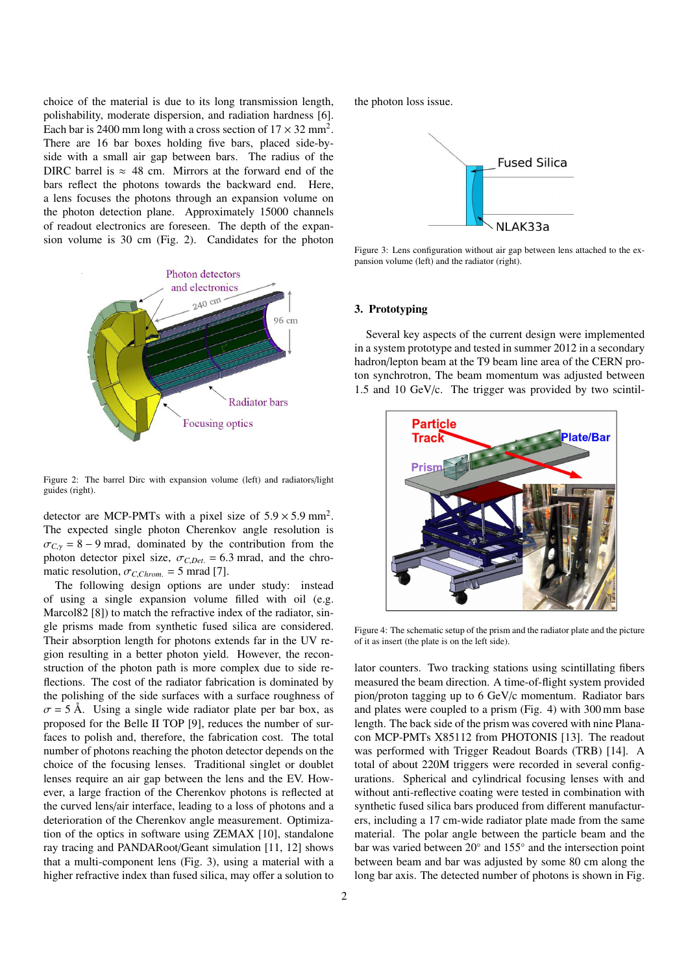choice of the material is due to its long transmission length, polishability, moderate dispersion, and radiation hardness [6]. Each bar is 2400 mm long with a cross section of  $17 \times 32$  mm<sup>2</sup>. There are 16 bar boxes holding five bars, placed side-byside with a small air gap between bars. The radius of the DIRC barrel is  $\approx$  48 cm. Mirrors at the forward end of the bars reflect the photons towards the backward end. Here, a lens focuses the photons through an expansion volume on the photon detection plane. Approximately 15000 channels of readout electronics are foreseen. The depth of the expansion volume is 30 cm (Fig. 2). Candidates for the photon



Figure 2: The barrel Dirc with expansion volume (left) and radiators/light guides (right).

detector are MCP-PMTs with a pixel size of  $5.9 \times 5.9$  mm<sup>2</sup>. The expected single photon Cherenkov angle resolution is  $\sigma_{C,\gamma}$  = 8 − 9 mrad, dominated by the contribution from the photon detector pixel size,  $\sigma_{C,Det.} = 6.3$  mrad, and the chromatic resolution,  $\sigma_{C,Chrom.} = 5$  mrad [7].

The following design options are under study: instead of using a single expansion volume filled with oil (e.g. Marcol82 [8]) to match the refractive index of the radiator, single prisms made from synthetic fused silica are considered. Their absorption length for photons extends far in the UV region resulting in a better photon yield. However, the reconstruction of the photon path is more complex due to side reflections. The cost of the radiator fabrication is dominated by the polishing of the side surfaces with a surface roughness of  $\sigma = 5$  Å. Using a single wide radiator plate per bar box, as proposed for the Belle II TOP [9], reduces the number of surfaces to polish and, therefore, the fabrication cost. The total number of photons reaching the photon detector depends on the choice of the focusing lenses. Traditional singlet or doublet lenses require an air gap between the lens and the EV. However, a large fraction of the Cherenkov photons is reflected at the curved lens/air interface, leading to a loss of photons and a deterioration of the Cherenkov angle measurement. Optimization of the optics in software using ZEMAX [10], standalone ray tracing and PANDARoot/Geant simulation [11, 12] shows that a multi-component lens (Fig. 3), using a material with a higher refractive index than fused silica, may offer a solution to

the photon loss issue.



Figure 3: Lens configuration without air gap between lens attached to the expansion volume (left) and the radiator (right).

## 3. Prototyping

Several key aspects of the current design were implemented in a system prototype and tested in summer 2012 in a secondary hadron/lepton beam at the T9 beam line area of the CERN proton synchrotron, The beam momentum was adjusted between 1.5 and 10 GeV/c. The trigger was provided by two scintil-



Figure 4: The schematic setup of the prism and the radiator plate and the picture of it as insert (the plate is on the left side).

lator counters. Two tracking stations using scintillating fibers measured the beam direction. A time-of-flight system provided pion/proton tagging up to 6 GeV/c momentum. Radiator bars and plates were coupled to a prism (Fig. 4) with 300 mm base length. The back side of the prism was covered with nine Planacon MCP-PMTs X85112 from PHOTONIS [13]. The readout was performed with Trigger Readout Boards (TRB) [14]. A total of about 220M triggers were recorded in several configurations. Spherical and cylindrical focusing lenses with and without anti-reflective coating were tested in combination with synthetic fused silica bars produced from different manufacturers, including a 17 cm-wide radiator plate made from the same material. The polar angle between the particle beam and the bar was varied between 20◦ and 155◦ and the intersection point between beam and bar was adjusted by some 80 cm along the long bar axis. The detected number of photons is shown in Fig.